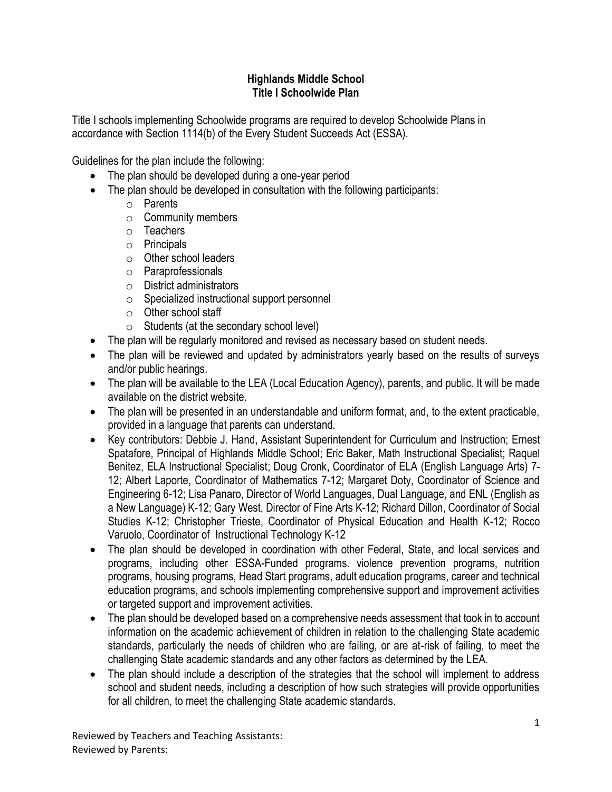## **Highlands Middle School Title I Schoolwide Plan**

Title I schools implementing Schoolwide programs are required to develop Schoolwide Plans in accordance with Section 1114(b) of the Every Student Succeeds Act (ESSA).

Guidelines for the plan include the following:

- The plan should be developed during a one-year period
- The plan should be developed in consultation with the following participants:
	- o Parents
	- o Community members
	- o Teachers
	- o Principals
	- o Other school leaders
	- o Paraprofessionals
	- o District administrators
	- o Specialized instructional support personnel
	- o Other school staff
	- $\circ$  Students (at the secondary school level)
- The plan will be regularly monitored and revised as necessary based on student needs.
- The plan will be reviewed and updated by administrators yearly based on the results of surveys and/or public hearings.
- The plan will be available to the LEA (Local Education Agency), parents, and public. It will be made available on the district website.
- The plan will be presented in an understandable and uniform format, and, to the extent practicable, provided in a language that parents can understand.
- Key contributors: Debbie J. Hand, Assistant Superintendent for Curriculum and Instruction; Ernest Spatafore, Principal of Highlands Middle School; Eric Baker, Math Instructional Specialist; Raquel Benitez, ELA Instructional Specialist; Doug Cronk, Coordinator of ELA (English Language Arts) 7- 12; Albert Laporte, Coordinator of Mathematics 7-12; Margaret Doty, Coordinator of Science and Engineering 6-12; Lisa Panaro, Director of World Languages, Dual Language, and ENL (English as a New Language) K-12; Gary West, Director of Fine Arts K-12; Richard Dillon, Coordinator of Social Studies K-12; Christopher Trieste, Coordinator of Physical Education and Health K-12; Rocco Varuolo, Coordinator of Instructional Technology K-12
- The plan should be developed in coordination with other Federal, State, and local services and programs, including other ESSA-Funded programs. violence prevention programs, nutrition programs, housing programs, Head Start programs, adult education programs, career and technical education programs, and schools implementing comprehensive support and improvement activities or targeted support and improvement activities.
- The plan should be developed based on a comprehensive needs assessment that took in to account information on the academic achievement of children in relation to the challenging State academic standards, particularly the needs of children who are failing, or are at-risk of failing, to meet the challenging State academic standards and any other factors as determined by the LEA.
- The plan should include a description of the strategies that the school will implement to address school and student needs, including a description of how such strategies will provide opportunities for all children, to meet the challenging State academic standards.

Reviewed by Teachers and Teaching Assistants: Reviewed by Parents: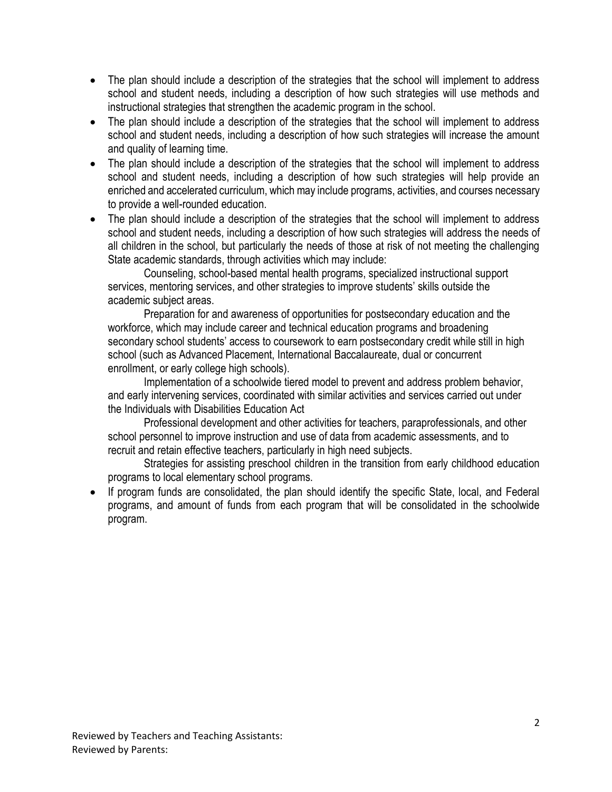- The plan should include a description of the strategies that the school will implement to address school and student needs, including a description of how such strategies will use methods and instructional strategies that strengthen the academic program in the school.
- The plan should include a description of the strategies that the school will implement to address school and student needs, including a description of how such strategies will increase the amount and quality of learning time.
- The plan should include a description of the strategies that the school will implement to address school and student needs, including a description of how such strategies will help provide an enriched and accelerated curriculum, which may include programs, activities, and courses necessary to provide a well-rounded education.
- The plan should include a description of the strategies that the school will implement to address school and student needs, including a description of how such strategies will address the needs of all children in the school, but particularly the needs of those at risk of not meeting the challenging State academic standards, through activities which may include:

Counseling, school-based mental health programs, specialized instructional support services, mentoring services, and other strategies to improve students' skills outside the academic subject areas.

Preparation for and awareness of opportunities for postsecondary education and the workforce, which may include career and technical education programs and broadening secondary school students' access to coursework to earn postsecondary credit while still in high school (such as Advanced Placement, International Baccalaureate, dual or concurrent enrollment, or early college high schools).

Implementation of a schoolwide tiered model to prevent and address problem behavior, and early intervening services, coordinated with similar activities and services carried out under the Individuals with Disabilities Education Act

Professional development and other activities for teachers, paraprofessionals, and other school personnel to improve instruction and use of data from academic assessments, and to recruit and retain effective teachers, particularly in high need subjects.

Strategies for assisting preschool children in the transition from early childhood education programs to local elementary school programs.

If program funds are consolidated, the plan should identify the specific State, local, and Federal programs, and amount of funds from each program that will be consolidated in the schoolwide program.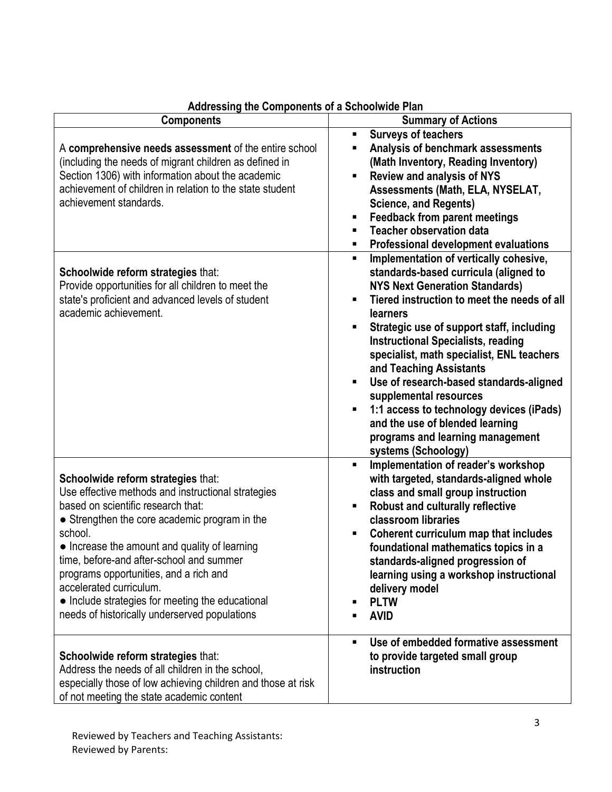| Addressing the components of a concentrate rain                                                                                                                                                                                                                                                                                                                                                                                                                   |                                                                                                                                                                                                                                                                                                                                                                                                                                                                                                                                                                                                                                             |
|-------------------------------------------------------------------------------------------------------------------------------------------------------------------------------------------------------------------------------------------------------------------------------------------------------------------------------------------------------------------------------------------------------------------------------------------------------------------|---------------------------------------------------------------------------------------------------------------------------------------------------------------------------------------------------------------------------------------------------------------------------------------------------------------------------------------------------------------------------------------------------------------------------------------------------------------------------------------------------------------------------------------------------------------------------------------------------------------------------------------------|
| <b>Components</b>                                                                                                                                                                                                                                                                                                                                                                                                                                                 | <b>Summary of Actions</b>                                                                                                                                                                                                                                                                                                                                                                                                                                                                                                                                                                                                                   |
| A comprehensive needs assessment of the entire school<br>(including the needs of migrant children as defined in<br>Section 1306) with information about the academic<br>achievement of children in relation to the state student<br>achievement standards.                                                                                                                                                                                                        | <b>Surveys of teachers</b><br>٠<br>Analysis of benchmark assessments<br>٠<br>(Math Inventory, Reading Inventory)<br><b>Review and analysis of NYS</b><br>٠<br>Assessments (Math, ELA, NYSELAT,<br><b>Science, and Regents)</b><br><b>Feedback from parent meetings</b><br>п<br><b>Teacher observation data</b><br>п<br>Professional development evaluations<br>٠                                                                                                                                                                                                                                                                            |
| Schoolwide reform strategies that:<br>Provide opportunities for all children to meet the<br>state's proficient and advanced levels of student<br>academic achievement.                                                                                                                                                                                                                                                                                            | Implementation of vertically cohesive,<br>$\blacksquare$<br>standards-based curricula (aligned to<br><b>NYS Next Generation Standards)</b><br>Tiered instruction to meet the needs of all<br>$\blacksquare$<br><b>learners</b><br>Strategic use of support staff, including<br>$\blacksquare$<br><b>Instructional Specialists, reading</b><br>specialist, math specialist, ENL teachers<br>and Teaching Assistants<br>Use of research-based standards-aligned<br>п<br>supplemental resources<br>1:1 access to technology devices (iPads)<br>п<br>and the use of blended learning<br>programs and learning management<br>systems (Schoology) |
| Schoolwide reform strategies that:<br>Use effective methods and instructional strategies<br>based on scientific research that:<br>• Strengthen the core academic program in the<br>school.<br>• Increase the amount and quality of learning<br>time, before-and after-school and summer<br>programs opportunities, and a rich and<br>accelerated curriculum.<br>• Include strategies for meeting the educational<br>needs of historically underserved populations | Implementation of reader's workshop<br>٠<br>with targeted, standards-aligned whole<br>class and small group instruction<br><b>Robust and culturally reflective</b><br>п<br>classroom libraries<br>Coherent curriculum map that includes<br>٠<br>foundational mathematics topics in a<br>standards-aligned progression of<br>learning using a workshop instructional<br>delivery model<br><b>PLTW</b><br>п<br><b>AVID</b><br>п                                                                                                                                                                                                               |
| Schoolwide reform strategies that:<br>Address the needs of all children in the school,<br>especially those of low achieving children and those at risk<br>of not meeting the state academic content                                                                                                                                                                                                                                                               | Use of embedded formative assessment<br>$\blacksquare$<br>to provide targeted small group<br>instruction                                                                                                                                                                                                                                                                                                                                                                                                                                                                                                                                    |

## **Addressing the Components of a Schoolwide Plan**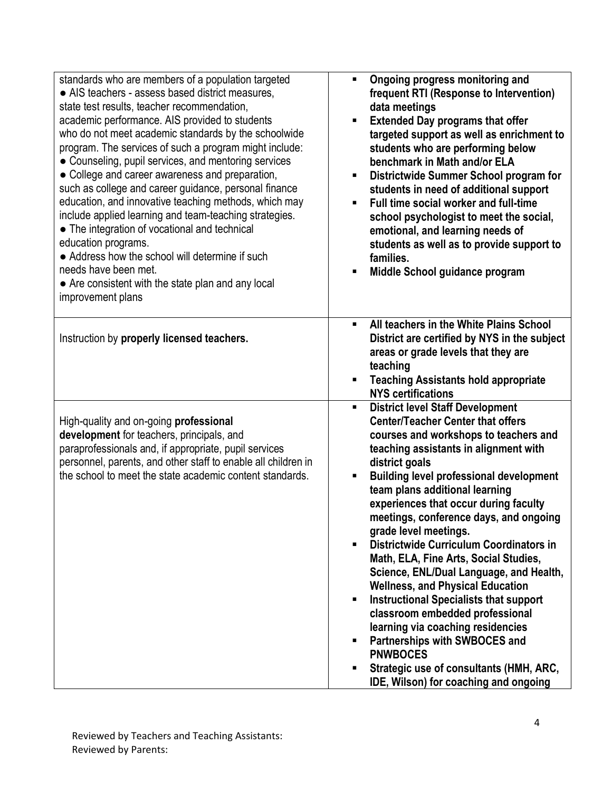| standards who are members of a population targeted<br>• AIS teachers - assess based district measures,<br>state test results, teacher recommendation,<br>academic performance. AIS provided to students<br>who do not meet academic standards by the schoolwide<br>program. The services of such a program might include:<br>• Counseling, pupil services, and mentoring services<br>• College and career awareness and preparation,<br>such as college and career guidance, personal finance<br>education, and innovative teaching methods, which may<br>include applied learning and team-teaching strategies.<br>• The integration of vocational and technical<br>education programs.<br>• Address how the school will determine if such<br>needs have been met.<br>• Are consistent with the state plan and any local<br>improvement plans | Ongoing progress monitoring and<br>٠<br>frequent RTI (Response to Intervention)<br>data meetings<br><b>Extended Day programs that offer</b><br>П<br>targeted support as well as enrichment to<br>students who are performing below<br>benchmark in Math and/or ELA<br>Districtwide Summer School program for<br>٠<br>students in need of additional support<br>Full time social worker and full-time<br>$\blacksquare$<br>school psychologist to meet the social,<br>emotional, and learning needs of<br>students as well as to provide support to<br>families.<br>Middle School guidance program<br>п                                                                                                                                                                                                                                                                           |
|------------------------------------------------------------------------------------------------------------------------------------------------------------------------------------------------------------------------------------------------------------------------------------------------------------------------------------------------------------------------------------------------------------------------------------------------------------------------------------------------------------------------------------------------------------------------------------------------------------------------------------------------------------------------------------------------------------------------------------------------------------------------------------------------------------------------------------------------|----------------------------------------------------------------------------------------------------------------------------------------------------------------------------------------------------------------------------------------------------------------------------------------------------------------------------------------------------------------------------------------------------------------------------------------------------------------------------------------------------------------------------------------------------------------------------------------------------------------------------------------------------------------------------------------------------------------------------------------------------------------------------------------------------------------------------------------------------------------------------------|
| Instruction by properly licensed teachers.                                                                                                                                                                                                                                                                                                                                                                                                                                                                                                                                                                                                                                                                                                                                                                                                     | All teachers in the White Plains School<br>$\blacksquare$<br>District are certified by NYS in the subject<br>areas or grade levels that they are<br>teaching<br><b>Teaching Assistants hold appropriate</b><br>П<br><b>NYS certifications</b>                                                                                                                                                                                                                                                                                                                                                                                                                                                                                                                                                                                                                                    |
| High-quality and on-going professional<br>development for teachers, principals, and<br>paraprofessionals and, if appropriate, pupil services<br>personnel, parents, and other staff to enable all children in<br>the school to meet the state academic content standards.                                                                                                                                                                                                                                                                                                                                                                                                                                                                                                                                                                      | <b>District level Staff Development</b><br><b>Center/Teacher Center that offers</b><br>courses and workshops to teachers and<br>teaching assistants in alignment with<br>district goals<br><b>Building level professional development</b><br>п<br>team plans additional learning<br>experiences that occur during faculty<br>meetings, conference days, and ongoing<br>grade level meetings.<br>Districtwide Curriculum Coordinators in<br>$\blacksquare$<br>Math, ELA, Fine Arts, Social Studies,<br>Science, ENL/Dual Language, and Health,<br><b>Wellness, and Physical Education</b><br><b>Instructional Specialists that support</b><br>$\blacksquare$<br>classroom embedded professional<br>learning via coaching residencies<br>Partnerships with SWBOCES and<br><b>PNWBOCES</b><br>Strategic use of consultants (HMH, ARC,<br>٠<br>IDE, Wilson) for coaching and ongoing |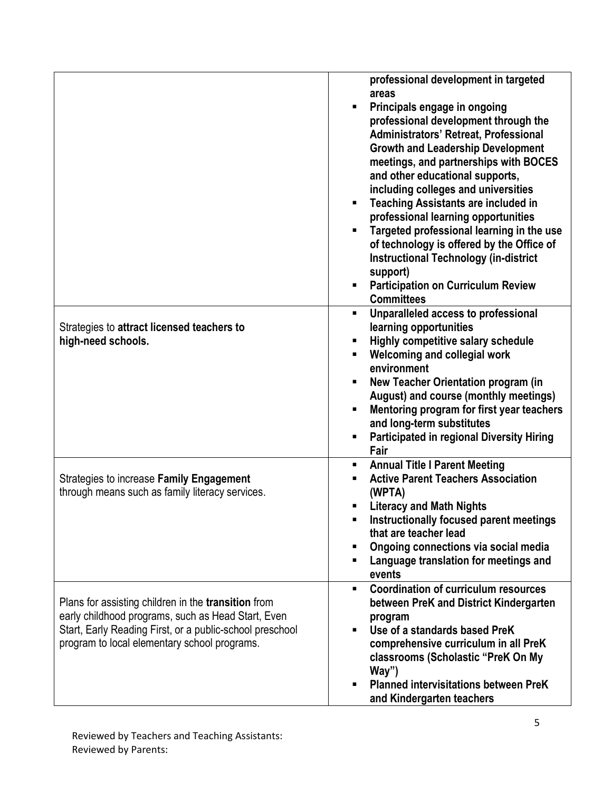|                                                                                                                                                                                                                              | professional development in targeted<br>areas<br>Principals engage in ongoing<br>$\blacksquare$<br>professional development through the<br>Administrators' Retreat, Professional<br><b>Growth and Leadership Development</b><br>meetings, and partnerships with BOCES<br>and other educational supports,<br>including colleges and universities<br><b>Teaching Assistants are included in</b><br>$\blacksquare$<br>professional learning opportunities<br>Targeted professional learning in the use<br>of technology is offered by the Office of<br><b>Instructional Technology (in-district</b><br>support)<br><b>Participation on Curriculum Review</b><br>$\blacksquare$<br><b>Committees</b> |
|------------------------------------------------------------------------------------------------------------------------------------------------------------------------------------------------------------------------------|--------------------------------------------------------------------------------------------------------------------------------------------------------------------------------------------------------------------------------------------------------------------------------------------------------------------------------------------------------------------------------------------------------------------------------------------------------------------------------------------------------------------------------------------------------------------------------------------------------------------------------------------------------------------------------------------------|
| Strategies to attract licensed teachers to<br>high-need schools.                                                                                                                                                             | Unparalleled access to professional<br>$\blacksquare$<br>learning opportunities<br>Highly competitive salary schedule<br>$\blacksquare$<br>Welcoming and collegial work<br>$\blacksquare$<br>environment<br>New Teacher Orientation program (in<br>٠<br>August) and course (monthly meetings)<br>Mentoring program for first year teachers<br>$\blacksquare$<br>and long-term substitutes<br><b>Participated in regional Diversity Hiring</b><br>$\blacksquare$<br>Fair                                                                                                                                                                                                                          |
| Strategies to increase Family Engagement<br>through means such as family literacy services.                                                                                                                                  | <b>Annual Title I Parent Meeting</b><br>п<br><b>Active Parent Teachers Association</b><br>٠<br>(WPTA)<br><b>Literacy and Math Nights</b><br>п<br>Instructionally focused parent meetings<br>that are teacher lead<br>Ongoing connections via social media<br>٠<br>Language translation for meetings and<br>п<br>events                                                                                                                                                                                                                                                                                                                                                                           |
| Plans for assisting children in the <b>transition</b> from<br>early childhood programs, such as Head Start, Even<br>Start, Early Reading First, or a public-school preschool<br>program to local elementary school programs. | <b>Coordination of curriculum resources</b><br>$\blacksquare$<br>between PreK and District Kindergarten<br>program<br>Use of a standards based PreK<br>$\blacksquare$<br>comprehensive curriculum in all PreK<br>classrooms (Scholastic "PreK On My<br>Way")<br><b>Planned intervisitations between PreK</b><br>$\blacksquare$<br>and Kindergarten teachers                                                                                                                                                                                                                                                                                                                                      |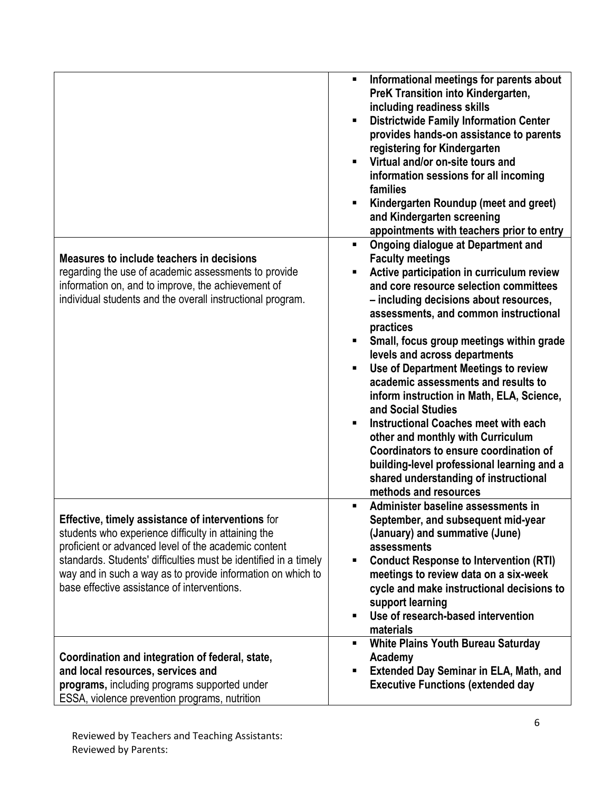|                                                                                                                                                                                                                                                                                                                                                    | Informational meetings for parents about<br>$\blacksquare$<br>PreK Transition into Kindergarten,<br>including readiness skills<br><b>Districtwide Family Information Center</b><br>٠<br>provides hands-on assistance to parents<br>registering for Kindergarten<br>Virtual and/or on-site tours and<br>٠<br>information sessions for all incoming<br>families<br>Kindergarten Roundup (meet and greet)<br>and Kindergarten screening<br>appointments with teachers prior to entry                                                                                                                                                                                                                                                                       |
|----------------------------------------------------------------------------------------------------------------------------------------------------------------------------------------------------------------------------------------------------------------------------------------------------------------------------------------------------|---------------------------------------------------------------------------------------------------------------------------------------------------------------------------------------------------------------------------------------------------------------------------------------------------------------------------------------------------------------------------------------------------------------------------------------------------------------------------------------------------------------------------------------------------------------------------------------------------------------------------------------------------------------------------------------------------------------------------------------------------------|
| Measures to include teachers in decisions<br>regarding the use of academic assessments to provide<br>information on, and to improve, the achievement of<br>individual students and the overall instructional program.                                                                                                                              | <b>Ongoing dialogue at Department and</b><br>٠<br><b>Faculty meetings</b><br>Active participation in curriculum review<br>Ξ<br>and core resource selection committees<br>- including decisions about resources,<br>assessments, and common instructional<br>practices<br>Small, focus group meetings within grade<br>levels and across departments<br>Use of Department Meetings to review<br>٠<br>academic assessments and results to<br>inform instruction in Math, ELA, Science,<br>and Social Studies<br><b>Instructional Coaches meet with each</b><br>other and monthly with Curriculum<br>Coordinators to ensure coordination of<br>building-level professional learning and a<br>shared understanding of instructional<br>methods and resources |
| Effective, timely assistance of interventions for<br>students who experience difficulty in attaining the<br>proficient or advanced level of the academic content<br>standards. Students' difficulties must be identified in a timely<br>way and in such a way as to provide information on which to<br>base effective assistance of interventions. | Administer baseline assessments in<br>$\blacksquare$<br>September, and subsequent mid-year<br>(January) and summative (June)<br>assessments<br><b>Conduct Response to Intervention (RTI)</b><br>٠<br>meetings to review data on a six-week<br>cycle and make instructional decisions to<br>support learning<br>Use of research-based intervention<br>п<br>materials                                                                                                                                                                                                                                                                                                                                                                                     |
| Coordination and integration of federal, state,<br>and local resources, services and<br>programs, including programs supported under<br>ESSA, violence prevention programs, nutrition                                                                                                                                                              | <b>White Plains Youth Bureau Saturday</b><br>Academy<br><b>Extended Day Seminar in ELA, Math, and</b><br>П<br><b>Executive Functions (extended day</b>                                                                                                                                                                                                                                                                                                                                                                                                                                                                                                                                                                                                  |